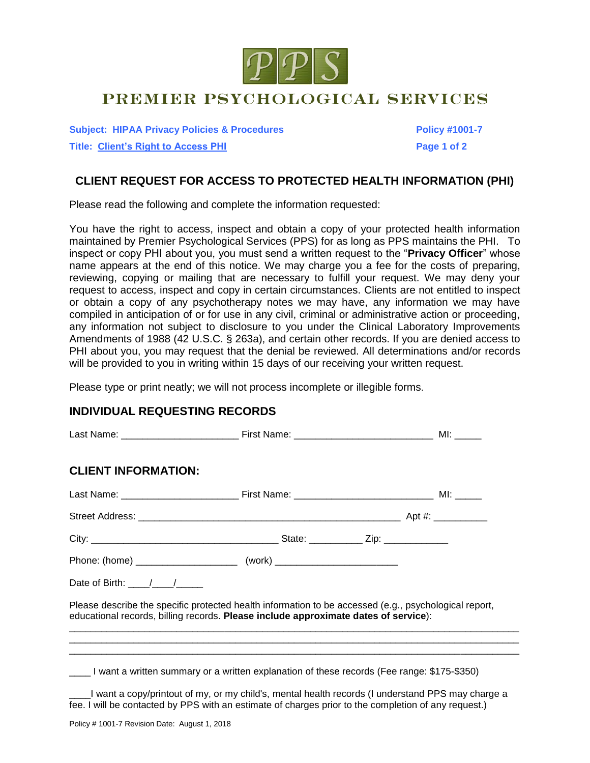

## PREMIER PSYCHOLOGICAL SERVICES

**Subject: HIPAA Privacy Policies & Procedures Policy #1001-7 Title: Client's Right to Access PHI Page 1 of 2**

## **CLIENT REQUEST FOR ACCESS TO PROTECTED HEALTH INFORMATION (PHI)**

Please read the following and complete the information requested:

You have the right to access, inspect and obtain a copy of your protected health information maintained by Premier Psychological Services (PPS) for as long as PPS maintains the PHI. To inspect or copy PHI about you, you must send a written request to the "**Privacy Officer**" whose name appears at the end of this notice. We may charge you a fee for the costs of preparing, reviewing, copying or mailing that are necessary to fulfill your request. We may deny your request to access, inspect and copy in certain circumstances. Clients are not entitled to inspect or obtain a copy of any psychotherapy notes we may have, any information we may have compiled in anticipation of or for use in any civil, criminal or administrative action or proceeding, any information not subject to disclosure to you under the Clinical Laboratory Improvements Amendments of 1988 (42 U.S.C. § 263a), and certain other records. If you are denied access to PHI about you, you may request that the denial be reviewed. All determinations and/or records will be provided to you in writing within 15 days of our receiving your written request.

Please type or print neatly; we will not process incomplete or illegible forms.

## **INDIVIDUAL REQUESTING RECORDS**

| <b>CLIENT INFORMATION:</b>          |                                                                                                                                                                                                           |  |
|-------------------------------------|-----------------------------------------------------------------------------------------------------------------------------------------------------------------------------------------------------------|--|
|                                     |                                                                                                                                                                                                           |  |
|                                     |                                                                                                                                                                                                           |  |
|                                     |                                                                                                                                                                                                           |  |
|                                     |                                                                                                                                                                                                           |  |
| Date of Birth: $\frac{1}{\sqrt{2}}$ |                                                                                                                                                                                                           |  |
|                                     | Please describe the specific protected health information to be accessed (e.g., psychological report,<br>educational records, billing records. Please include approximate dates of service):              |  |
|                                     |                                                                                                                                                                                                           |  |
|                                     | I want a written summary or a written explanation of these records (Fee range: \$175-\$350)                                                                                                               |  |
|                                     | I want a copy/printout of my, or my child's, mental health records (I understand PPS may charge a<br>fee. I will be contacted by PPS with an estimate of charges prior to the completion of any request.) |  |